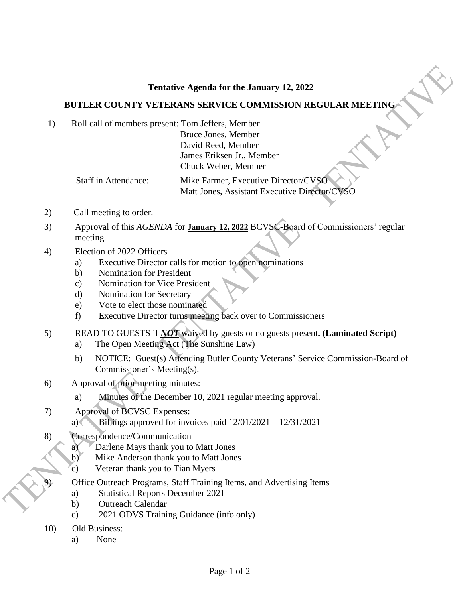## **Tentative Agenda for the January 12, 2022**

## **BUTLER COUNTY VETERANS SERVICE COMMISSION REGULAR MEETING**

1) Roll call of members present: Tom Jeffers, Member

Bruce Jones, Member David Reed, Member James Eriksen Jr., Member Chuck Weber, Member

Staff in Attendance: Mike Farmer, Executive Director/CVSC Matt Jones, Assistant Executive Director/CVSO

- 2) Call meeting to order.
- 3) Approval of this *AGENDA* for **January 12, 2022** BCVSC-Board of Commissioners' regular meeting.
- 4) Election of 2022 Officers
	- a) Executive Director calls for motion to open nominations
	- b) Nomination for President
	- c) Nomination for Vice President
	- d) Nomination for Secretary
	- e) Vote to elect those nominated
	- f) Executive Director turns meeting back over to Commissioners

5) READ TO GUESTS if *NOT* waived by guests or no guests present**. (Laminated Script)**

- a) The Open Meeting Act (The Sunshine Law)
- b) NOTICE: Guest(s) Attending Butler County Veterans' Service Commission-Board of Commissioner's Meeting(s).
- 6) Approval of prior meeting minutes:
	- a) Minutes of the December 10, 2021 regular meeting approval.
- 7) Approval of BCVSC Expenses:
	- a) Billings approved for invoices paid  $12/01/2021 12/31/2021$
- 8) Correspondence/Communication
	- a) Darlene Mays thank you to Matt Jones
	- b) Mike Anderson thank you to Matt Jones
	- c) Veteran thank you to Tian Myers
	- 9) Office Outreach Programs, Staff Training Items, and Advertising Items
		- a) Statistical Reports December 2021
		- b) Outreach Calendar
		- c) 2021 ODVS Training Guidance (info only)
- 10) Old Business:
	- a) None